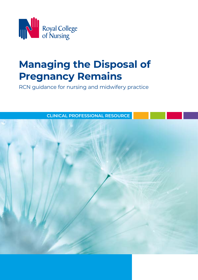

# **Managing the Disposal of Pregnancy Remains**

RCN guidance for nursing and midwifery practice

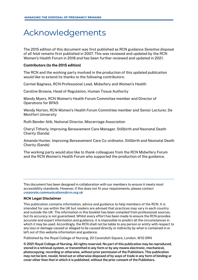## Acknowledgements

The 2015 edition of this document was first published as RCN guidance *Sensitive disposal of all fetal remains* first published in 2007. This was reviewed and updated by the RCN Women's Health Forum in 2018 and has been further reviewed and updated in 2021.

#### Contributors (to the 2015 edition)

The RCN and the working party involved in the production of this updated publication would like to extend its thanks to the following contributors:

Carmel Bagness, RCN Professional Lead, Midwifery and Women's Health

Caroline Browne, Head of Regulation, Human Tissue Authority

Mandy Myers, RCN Women's Health Forum Committee member and Director of Operations for BPAS

Wendy Norton, RCN Women's Health Forum Committee member and Senior Lecturer, De Montfort University

Ruth Bender Atik, National Director, Miscarriage Association

Cheryl Titherly, Improving Bereavement Care Manager, Stillbirth and Neonatal Death Charity (Sands)

Amanda Hunter, Improving Bereavement Care Co-ordinator, Stillbirth and Neonatal Death Charity (Sands)

The working party would also like to thank colleagues from the RCN Midwifery Forum and the RCN Women's Health Forum who supported the production of the guidance.

This document has been designed in collaboration with our members to ensure it meets most accessibility standards. However, if this does not fit your requirements, please contact corporate.communications@rcn.org.uk

#### **RCN Legal Disclaimer**

This publication contains information, advice and guidance to help members of the RCN. It is intended for use within the UK but readers are advised that practices may vary in each country and outside the UK. The information in this booklet has been compiled from professional sources, but its accuracy is not guaranteed. Whilst every effort has been made to ensure the RCN provides accurate and expert information and guidance, it is impossible to predict all the circumstances in which it may be used. Accordingly, the RCN shall not be liable to any person or entity with respect to any loss or damage caused or alleged to be caused directly or indirectly by what is contained in or left out of this website information and guidance.

Published by the Royal College of Nursing, 20 Cavendish Square, London, W1G 0RN

© 2021 Royal College of Nursing. All rights reserved. No part of this publication may be reproduced, stored in a retrieval system, or transmitted in any form or by any means electronic, mechanical, photocopying, recording or otherwise, without prior permission of the Publishers. This publication may not be lent, resold, hired out or otherwise disposed of by ways of trade in any form of binding or cover other than that in which it is published, without the prior consent of the Publishers.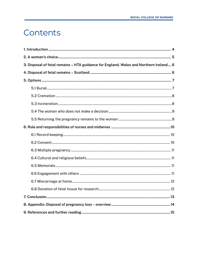## <span id="page-2-0"></span>Contents

| 3. Disposal of fetal remains - HTA guidance for England, Wales and Northern Ireland 6 |
|---------------------------------------------------------------------------------------|
|                                                                                       |
|                                                                                       |
|                                                                                       |
|                                                                                       |
|                                                                                       |
|                                                                                       |
|                                                                                       |
|                                                                                       |
|                                                                                       |
|                                                                                       |
|                                                                                       |
|                                                                                       |
|                                                                                       |
|                                                                                       |
|                                                                                       |
|                                                                                       |
|                                                                                       |
|                                                                                       |
|                                                                                       |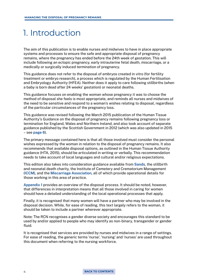## <span id="page-3-0"></span>1. Introduction

The aim of this publication is to enable nurses and midwives to have in place appropriate systems and processes to ensure the safe and appropriate disposal of pregnancy remains, where the pregnancy has ended before the 24th week of gestation. This will include following an ectopic pregnancy, early intrauterine fetal death, miscarriage, or a medically or surgically induced termination of pregnancy.

This guidance does not refer to the disposal of embryos created in vitro (for fertility treatment or embryo research), a process which is regulated by the Human Fertilisation and Embryology Authority (HFEA). Neither does it apply to care following stillbirths (when a baby is born dead after 24 weeks' gestation) or neonatal deaths.

This guidance focuses on enabling the woman whose pregnancy it was to choose the method of disposal she feels is most appropriate, and reminds all nurses and midwives of the need to be sensitive and respond to a woman's wishes relating to disposal, regardless of the particular circumstances of the pregnancy loss.

This guidance was revised following the March 2015 publication of the Human Tissue Authority's Guidance on the disposal of pregnancy remains following pregnancy loss or termination for England, Wales and Northern Ireland, and also took account of separate guidance published by the Scottish Government in 2012 (which was also updated in 2015 – see [page 6](#page-5-0)).

The primary message contained here is that all those involved must consider the personal wishes expressed by the woman in relation to the disposal of pregnancy remains. It also recommends that available disposal options, as outlined in the Human Tissue Authority guidance (HTA, 2015), should be articulated in writing or verbally. This recommendation needs to take account of local languages and cultural and/or religious expectations.

This edition also takes into consideration guidance available from [Sands](https://www.sands.org.uk), the stillbirth and neonatal death charity, the Institute of Cemetery and Crematorium Management [\(ICCM\)](https://www.iccm-uk.com/iccm/), and the [Miscarriage Association](https://www.miscarriageassociation.org.uk), all of which provide operational details for those working in this area of practice.

[Appendix 1](#page-13-0) provides an overview of the disposal process. It should be noted, however, that differences in interpretation means that all those involved in caring for women should have a detailed understanding of the local operational processes that apply.

Finally, it is recognised that many women will have a partner who may be involved in the disposal decision. While, for ease of reading, this text largely refers to the woman, it should be taken to include a partner wherever appropriate.

Note: The RCN recognises a gender diverse society and encourages this standard to be used by and/or applied to people who may identify as non-binary, transgender or gender fluid.

It is recognised that services are provided by nurses and midwives in a range of settings. For ease of reading, the generic terms 'nurse', 'nursing' and 'nurses' are used throughout this document when referring to the nursing workforce.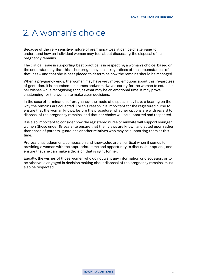## <span id="page-4-0"></span>2. A woman's choice

Because of the very sensitive nature of pregnancy loss, it can be challenging to understand how an individual woman may feel about discussing the disposal of her pregnancy remains.

The critical issue in supporting best practice is in respecting a woman's choice, based on the understanding that this is her pregnancy loss – regardless of the circumstances of that loss – and that she is best placed to determine how the remains should be managed.

When a pregnancy ends, the woman may have very mixed emotions about this, regardless of gestation. It is incumbent on nurses and/or midwives caring for the woman to establish her wishes while recognising that, at what may be an emotional time, it may prove challenging for the woman to make clear decisions.

In the case of termination of pregnancy, the mode of disposal may have a bearing on the way the remains are collected. For this reason it is important for the registered nurse to ensure that the woman knows, before the procedure, what her options are with regard to disposal of the pregnancy remains, and that her choice will be supported and respected.

It is also important to consider how the registered nurse or midwife will support younger women (those under 18 years) to ensure that their views are known and acted upon rather than those of parents, guardians or other relatives who may be supporting them at this time.

Professional judgement, compassion and knowledge are all critical when it comes to providing a woman with the appropriate time and opportunity to discuss her options, and ensure that she can make a decision that is right for her.

Equally, the wishes of those women who do not want any information or discussion, or to be otherwise engaged in decision making about disposal of the pregnancy remains, must also be respected.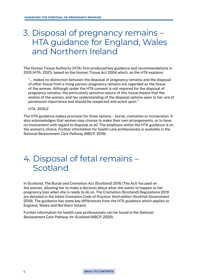## <span id="page-5-0"></span>3. Disposal of pregnancy remains – HTA guidance for England, Wales and Northern Ireland

The Human Tissue Authority (HTA) first produced key guidance and recommendations in 2015 (HTA, 2021), based on the Human Tissue Act 2004 which, as the HTA explains:

 "… makes no distinction between the disposal of pregnancy remains and the disposal of other tissue from a living person; pregnancy remains are regarded as the tissue of the woman. Although under the HTA consent is not required for the disposal of pregnancy remains, the particularly sensitive nature of this tissue means that the wishes of the woman, and her understanding of the disposal options open to her, are of paramount importance and should be respected and acted upon."

HTA, 2015:2

The HTA guidance makes provision for three options – burial, cremation or incineration. It also acknowledges that women may choose to make their own arrangements, or to have no involvement with regard to disposal at all. The emphasis within the HTA guidance is on the woman's choice. Further information for health care professionals is available in the *National Bereavement Care Pathway* (NBCP, 2019).

## 4. Disposal of fetal remains – Scotland

In Scotland, The Burial and Cremation Act (Scotland) 2016 (The Act) focused on the woman, allowing her to make a decision about what she wants to happen to her pregnancy loss when she is ready to do so. The Cremation (Scotland) Regulations 2019 are detailed in the *Infant Cremation Code of Practice: third edition* (Scottish Government 2019). The guidance has some key differences from the HTA guidance which applies to England, Wales and Northern Ireland.

Further information for health care professionals can be found in the *National Bereavement Care Pathway for Scotland* (NBCP, 2020).

#### 6 **[BACK TO CONTENTS](#page-2-0)**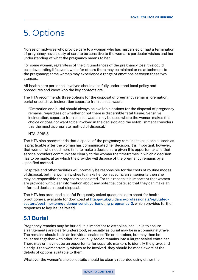## <span id="page-6-0"></span>5. Options

Nurses or midwives who provide care to a woman who has miscarried or had a termination of pregnancy have a duty of care to be sensitive to the woman's particular wishes and her understanding of what the pregnancy means to her.

For some women, regardless of the circumstances of the pregnancy loss, this could be a devastating life event, while for others there may be minimal or no attachment to the pregnancy; some women may experience a range of emotions between these two stances.

All health care personnel involved should also fully understand local policy and procedures and know who the key contacts are.

The HTA recommends three options for the disposal of pregnancy remains; cremation, burial or sensitive incineration separate from clinical waste:

 "Cremation and burial should always be available options for the disposal of pregnancy remains, regardless of whether or not there is discernible fetal tissue. Sensitive incineration, separate from clinical waste, may be used where the woman makes this choice or does not want to be involved in the decision and the establishment considers this the most appropriate method of disposal."

#### HTA, 2015:5

The HTA also recommends that disposal of the pregnancy remains takes place as soon as is practicable after the woman has communicated her decision. It is important, however, that women who need more time to make a decision are given this opportunity, and that service providers communicate clearly to the woman the timeframes in which a decision has to be made, after which the provider will dispose of the pregnancy remains by a specified method.

Hospitals and other facilities will normally be responsible for the costs of routine modes of disposal, but if a woman wishes to make her own specific arrangements then she may be responsible for any costs associated. For this reason it is important that women are provided with clear information about any potential costs, so that they can make an informed decision about disposal.

The HTA has produced a useful Frequently asked questions data sheet for health practitioners, available for download at [hta.gov.uk/guidance-professionals/regulated](http://www.hta.gov.uk/guidance-professionals/regulated-sectors/post-mortem/guidance-sensitive-handling-pregnancy-0)[sectors/post-mortem/guidance-sensitive-handling-pregnancy-0](http://www.hta.gov.uk/guidance-professionals/regulated-sectors/post-mortem/guidance-sensitive-handling-pregnancy-0), which provides further responses to key issues raised.

#### **5.1 Burial**

Pregnancy remains may be buried. It is important to establish local links to ensure arrangements are clearly understood, especially as burial may be in a communal grave. The remains should be in an individual sealed coffin or container, but may then be collected together with other individually sealed remains into a larger sealed container. There may or may not be an opportunity for separate markers to identify the grave, and clearly if the woman/family wishes to be involved, they should be made aware of the details of options available to them.

Whatever the woman's choice, details should be clearly recorded using either the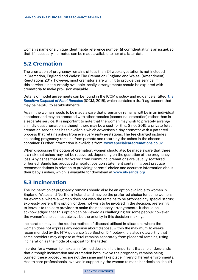<span id="page-7-0"></span>woman's name or a unique identifiable reference number (if confidentiality is an issue), so that, if necessary, her notes can be made available to her at a later date.

### **5.2 Cremation**

The cremation of pregnancy remains of less than 24 weeks gestation is not included in Cremation, England and Wales: The Cremation (England and Wales) (Amendment) Regulations 2017; however, most crematoria are willing to provide this service. If this service is not currently available locally, arrangements should be explored with crematoria to make provision available.

Details of model agreements can be found in the ICCM's policy and guidance entitled *[The](http://www.iccm-uk.com/iccm/foetalremains)  [Sensitive Disposal of Fetal Remains](http://www.iccm-uk.com/iccm/foetalremains)* (ICCM, 2015), which contains a draft agreement that may be helpful to establishments.

Again, the woman needs to be made aware that pregnancy remains will be in an individual container and may be cremated with other remains (communal cremation) rather than in a separate service. It is important to note that the woman may wish to privately arrange an individual cremation, although there may be a cost for this. Since 2015, a private fetal cremation service has been available which advertises a tiny cremator with a patented process that retains ashes from even very early gestations. The fee charged includes collecting pregnancy remains from parents and returning the ashes in the chosen container. Further information is available from: [www.specialcarecremations.co.uk](https://specialcarecremations.co.uk)

When discussing the option of cremation, women should also be made aware that there is a risk that ashes may not be recovered, depending on the gestation of the pregnancy loss. Any ashes that are recovered from communal cremations are usually scattered or buried. Sands has produced a helpful position statement containing best practice recommendations in relation to providing parents' choice and accurate information about their baby's ashes, which is available for download at [www.uk-sands.org](https://www.sands.org.uk/sites/default/files/Position%20statement%20Cremation%20and%20ashes_0.pdf)

### **5.3 Incineration**

The incineration of pregnancy remains should also be an option available to women in England, Wales and Northern Ireland, and may be the preferred choice for some women; for example, where a woman does not wish the remains to be afforded any special status; expressly prefers this option; or does not wish to be involved in the decision, preferring to leave it to the care provider to make the necessary arrangements. It should be acknowledged that this option can be viewed as challenging for some people; however, the woman's choice must always be the priority in this decision-making.

Incineration may be the routine method of disposal utilised in situations where the woman does not express any decision about disposal within the maximum 12 weeks recommended by the HTA guidance (see Section 5.4 below). It is also noteworthy that some providers may dispose of fetal remains separately from placental remains, using incineration as the mode of disposal for the latter.

In order for a woman to make an informed decision, it is important that she understands that although incineration and cremation both involve the pregnancy remains being burned, these procedures are not the same and take place in very different environments. Health care professionals involved in supporting the woman to make her decision should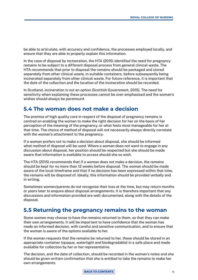<span id="page-8-0"></span>be able to articulate, with accuracy and confidence, the processes employed locally, and ensure that they are able to properly explain this information.

In the case of disposal by incineration, the HTA (2015) identified the need for pregnancy remains to be subject to a different disposal process from general clinical waste. The HTA recommends that prior to disposal the remains should be packaged and stored separately from other clinical waste, in suitable containers, before subsequently being incinerated separately from other clinical waste. For future reference, it is important that the date of the collection and the location of the incineration should be recorded.

In Scotland, incineration is not an option (Scottish Government, 2015). The need for sensitivity when explaining these processes cannot be over-emphasised and the woman's wishes should always be paramount.

### **5.4 The woman does not make a decision**

The premise of high quality care in respect of the disposal of pregnancy remains is centred on enabling the woman to make the right decision for her on the basis of her perception of the meaning of the pregnancy, or what feels most manageable for her at that time. The choice of method of disposal will not necessarily always directly correlate with the woman's attachment to the pregnancy.

If a woman prefers not to make a decision about disposal, she should be informed what method of disposal will be used. Where a woman does not want to engage in any discussion about disposal, her position should be respected but she should be made aware that information is available to access should she so wish.

The HTA (2015) recommends that if a woman does not make a decision, the remains should be kept for no more than 12 weeks before disposal. The woman should be made aware of the local timeframe and that if no decision has been expressed within that time, the remains will be disposed of. Ideally, this information should be provided verbally and in writing.

Sometimes women/parents do not recognise their loss at the time, but may return months or years later to enquire about disposal arrangements. It is therefore important that any discussions and information provided are well-documented, along with the details of the disposal.

### **5.5 Returning the pregnancy remains to the woman**

Some women may choose to have the remains returned to them, so that they can make their own arrangements. It will be important to have confidence that the woman has made an informed decision, with careful and sensitive communication, and to ensure that the woman is aware of the options available to her.

If the woman requests that the remains be returned to her, these should be stored in an appropriate container (opaque, watertight and biodegradable) in a safe place and made available for collection by her or her representative.

The decision, and the date of collection, should be recorded in the woman's notes and she should be given written confirmation that she is entitled to take the remains to make her own arrangements.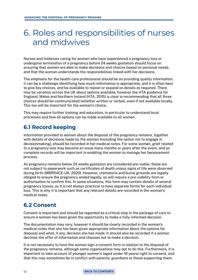## <span id="page-9-0"></span>6. Roles and responsibilities of nurses and midwives

Nurses and midwives caring for women who have experienced a pregnancy loss or undergone termination of a pregnancy before 24 weeks gestation should focus on ensuring that women are able to make decisions and choices based on personal needs, and that the woman understands the responsibilities linked with her decisions.

The emphasis for the health care professional should be on providing quality information; it can be a challenge identifying how much information is appropriate, and it is often best to give key choices, and be available to repeat or expand on details as required. There may be variation across the UK about options available, however the HTA guidance for England, Wales and Northern Ireland (HTA, 2015) is clear in recommending that all three choices should be communicated (whether written or verbal), even if not available locally. This too will be important for the woman's choice.

This may require further training and education, in particular to understand local processes and how all options can be made available to all women.

### **6.1 Record keeping**

Information provided to women about the disposal of the pregnancy remains, together with details of decisions made by the woman (including the option not to engage in decisionmaking), should be recorded in her medical notes. For some women, grief related to a pregnancy loss may become an issue many months or years after the event, and so complete records will be important in enabling the woman to manage her bereavement process.

As pregnancy remains below 24 weeks gestation are considered pre-viable, these are not subject to paperwork such as certificates of death unless signs of life were observed during birth (MBRRACE-UK, 2020). However, crematoria and burial grounds are legally obliged to ensure the pregnancy ended legally, so will require a pre-viability form or authorisation to confirm this. In some situations, this form may contain details of several pregnancy losses, as it is not always practical to have separate forms for each individual loss. This is why it is important that any relevant details are recorded in the woman's medical notes.

### **6.2 Consent**

Consent is important and should be regarded as a critical step in the package of care to ensure a woman has been given the opportunity to make a fully-informed decision.

The documentation may vary, however it should be clearly recorded in the woman's medical notes that she has been given appropriate information about the options for disposal and what, if any, decision she has made. It should also be recorded if a woman declines the offer of information and chooses not to make a decision.

It is not necessary to have the woman sign a consent form in relation to the disposal of the pregnancy remains, although some organisations may opt to do this. Furthermore, it is important to take account of younger women's (aged under 18 years) right to consent, and that this may sometimes be in conflict with parents, guardians or those supporting them.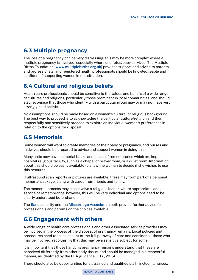### <span id="page-10-0"></span>**6.3 Multiple pregnancy**

The loss of a pregnancy can be very distressing; this may be more complex where a multiple pregnancy is involved, especially where one fetus/baby survives. The Multiple Births Foundation [\(www.multiplebirths.org.uk](http://www.multiplebirths.org.uk)) provides support and advice to parents and professionals, and registered health professionals should be knowledgeable and confident if supporting women in this situation.

### **6.4 Cultural and religious beliefs**

Health care professionals should be sensitive to the values and beliefs of a wide range of cultures and religions, particularly those prominent in local communities, and should also recognise that those who identify with a particular group may or may not have very strongly held beliefs.

No assumptions should be made based on a woman's cultural or religious background. The best way to proceed is to acknowledge the particular culture/religion and then respectfully and sensitively proceed to explore an individual woman's preferences in relation to the options for disposal.

### **6.5 Memorials**

Some women will want to create memories of their baby or pregnancy, and nurses and midwives should be prepared to advise and support women in doing this.

Many units now have memorial books and books of remembrance which are kept in a hospital religious facility, such as a chapel or prayer room, or a quiet room. Information about this should be easily available to allow the woman to decide if she wishes to use this resource.

If ultrasound scan reports or pictures are available, these may form part of a personal memorial package, along with cards from friends and family.

The memorial process may also involve a religious leader, where appropriate, and a service of remembrance; however, this will be very individual and options need to be clearly understood beforehand.

The [Sands](https://www.sands.org.uk) charity and the [Miscarriage Association](https://www.miscarriageassociation.org.uk/your-feelings/marking-your-loss/) both provide further advice for professionals and parents on the choices available.

### **6.6 Engagement with others**

A wide range of health care professionals and other associated service providers may be involved in the process of the disposal of pregnancy remains. Local policies and procedures need to take account of the full pathway of care and consider all those who may be involved, recognising that this may be a sensitive subject for some.

It is important that those handling pregnancy remains understand that these are perceived differently from other body tissue, and should be managed in a respectful manner, as identified by the HTA guidance (HTA, 2015).

There should also be opportunities for all trained and qualified staff, including nurses,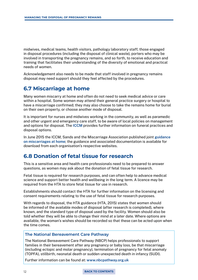<span id="page-11-0"></span>midwives, medical teams, health visitors, pathology laboratory staff, those engaged in disposal procedures (including the disposal of clinical waste), porters who may be involved in transporting the pregnancy remains, and so forth, to receive education and training that facilitates their understanding of the diversity of emotional and practical needs of women.

Acknowledgement also needs to be made that staff involved in pregnancy remains disposal may need support should they feel affected by the procedures.

### **6.7 Miscarriage at home**

Many women miscarry at home and often do not need to seek medical advice or care within a hospital. Some women may attend their general practice surgery or hospital to have a miscarriage confirmed; they may also choose to take the remains home for burial on their own property, or choose another mode of disposal.

It is important for nurses and midwives working in the community, as well as paramedic and other urgent and emergency care staff, to be aware of local policies on management and options for disposal. The [ICCM](http://www.iccm-uk.com/iccm) provides further information on funeral practices and disposal options.

In June 2015 the ICCM, Sands and the Miscarriage Association published joint [guidance](http://www.miscarriageassociation.org.uk/information/for-health-professionals/guidance-miscarriages-occur-home)  [on miscarriages at home](http://www.miscarriageassociation.org.uk/information/for-health-professionals/guidance-miscarriages-occur-home); the guidance and associated documentation is available for download from each organisation's respective websites.

### **6.8 Donation of fetal tissue for research**

This is a sensitive area and health care professionals need to be prepared to answer questions, as women may ask about the donation of fetal tissue for research.

Fetal tissue is required for research purposes, and can often help to advance medical science and support better health and wellbeing in the long term. A licence may be required from the HTA to store fetal tissue for use in research.

Establishments should contact the HTA for further information on the licensing and consent requirements relating to the use of fetal tissue for research purposes.

With regards to disposal, the HTA guidance (HTA, 2015) states that women should be informed of the available modes of disposal (after research is completed), where known, and the standard type of disposal used by the facility. Women should also be told whether they will be able to change their mind at a later date. Where options are available, the woman's wishes should be recorded so that these can be acted upon when the time comes.

#### **The National Bereavement Care Pathway**

The National Bereavement Care Pathway (NBCP) helps professionals to support families in their bereavement after any pregnancy or baby loss, be that miscarriage (including ectopic and molar pregnancy), termination of pregnancy for fetal anomaly (TOPFA), stillbirth, neonatal death or sudden unexpected death in infancy (SUDI).

Further information can be found at: [www.nbcpathway.org.uk](https://nbcpathway.org.uk)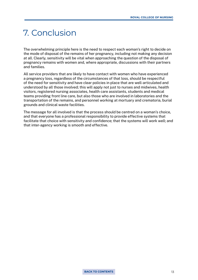## <span id="page-12-0"></span>7. Conclusion

The overwhelming principle here is the need to respect each woman's right to decide on the mode of disposal of the remains of her pregnancy, including not making any decision at all. Clearly, sensitivity will be vital when approaching the question of the disposal of pregnancy remains with women and, where appropriate, discussions with their partners and families.

All service providers that are likely to have contact with women who have experienced a pregnancy loss, regardless of the circumstances of that loss, should be respectful of the need for sensitivity and have clear policies in place that are well-articulated and understood by all those involved; this will apply not just to nurses and midwives, health visitors, registered nursing associates, health care assistants, students and medical teams providing front line care, but also those who are involved in laboratories and the transportation of the remains, and personnel working at mortuary and crematoria, burial grounds and clinical waste facilities.

The message for all involved is that the process should be centred on a woman's choice, and that everyone has a professional responsibility to provide effective systems that facilitate that choice with sensitivity and confidence; that the systems will work well; and that inter-agency working is smooth and effective.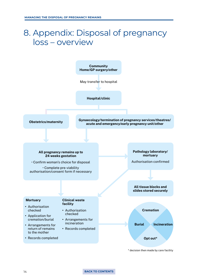## <span id="page-13-0"></span>8. Appendix: Disposal of pregnancy loss – overview



14 **[BACK TO CONTENTS](#page-2-0)**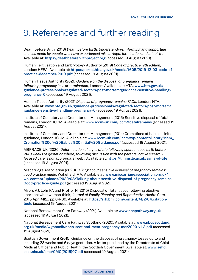## <span id="page-14-0"></span>9. References and further reading

Death before Birth (2018) *Death before Birth: Understanding, informing and supporting choices made by people who have experienced miscarriage, termination and stillbirth*. Available at:<https://deathbeforebirthproject.org>(accessed 19 August 2021).

Human Fertilisation and Embryology Authority (2019) *Code of practice: 9th edition*, London: HFEA. Available at: [https://portal.hfea.gov.uk/media/1605/2019-12-03-code-of](https://portal.hfea.gov.uk/media/1605/2019-12-03-code-of-practice-december-2019.pdf)[practice-december-2019.pdf](https://portal.hfea.gov.uk/media/1605/2019-12-03-code-of-practice-december-2019.pdf) (accessed 19 August 2021).

Human Tissue Authority (2021) *Guidance on the disposal of pregnancy remains following pregnancy loss or termination*, London: Available at: HTA. [www.hta.gov.uk/](http://www.hta.gov.uk/guidance-professionals/regulated-sectors/post-mortem/guidance-sensitive-handling-pregnancy-0) [guidance-professionals/regulated-sectors/post-mortem/guidance-sensitive-handling](http://www.hta.gov.uk/guidance-professionals/regulated-sectors/post-mortem/guidance-sensitive-handling-pregnancy-0)[pregnancy-0](http://www.hta.gov.uk/guidance-professionals/regulated-sectors/post-mortem/guidance-sensitive-handling-pregnancy-0) (accessed 19 August 2021).

Human Tissue Authority (2021) *Disposal of pregnancy remains FAQs*, London: HTA. Available at: [www.hta.gov.uk/guidance-professionals/regulated-sectors/post-mortem/](http://www.hta.gov.uk/guidance-professionals/regulated-sectors/post-mortem/guidance-sensitive-handling-pregnancy-0) [guidance-sensitive-handling-pregnancy-0](http://www.hta.gov.uk/guidance-professionals/regulated-sectors/post-mortem/guidance-sensitive-handling-pregnancy-0) (accessed 19 August 2021).

Institute of Cemetery and Crematorium Management (2015) Sensitive disposal of fetal remains, London: ICCM. Available at: [www.iccm-uk.com/iccm/foetalremains](http://www.iccm-uk.com/iccm/foetalremains) (accessed 19 August 2021).

Institute of Cemetery and Crematorium Management (2014) Cremations of babies – initial guidance, London: ICCM. Available at: [www.iccm-uk.com/iccm/wp-content/library/iccm\\_](http://www.iccm-uk.com/iccm/wp-content/library/iccm_Cremation%20of%20Babies%20Initial%20Guidance.pdf) [Cremation%20of%20Babies%20Initial%20Guidance.pdf](http://www.iccm-uk.com/iccm/wp-content/library/iccm_Cremation%20of%20Babies%20Initial%20Guidance.pdf) (accessed 19 August 2021).

MBRRACE-UK (2020) *Determination of signs of life following spontaneous birth before 24+0 weeks of gestation where, following discussion with the parents, active survivalfocused care is not appropriate* [web]. Available at: <https://timms.le.ac.uk/signs-of-life> (accessed 19 August 2021).

Miscarriage Association (2020) *Talking about sensitive disposal of pregnancy remains: good practice guide*, Wakefield: MA. Available at: [www.miscarriageassociation.org.uk/](http://www.miscarriageassociation.org.uk/wp-content/uploads/2020/08/Talking-about-sensitive-disposal-of-pregnancy-remains-Good-practice-guide.pdf) [wp-content/uploads/2020/08/Talking-about-sensitive-disposal-of-pregnancy-remains-](http://www.miscarriageassociation.org.uk/wp-content/uploads/2020/08/Talking-about-sensitive-disposal-of-pregnancy-remains-Good-practice-guide.pdf)[Good-practice-guide.pdf](http://www.miscarriageassociation.org.uk/wp-content/uploads/2020/08/Talking-about-sensitive-disposal-of-pregnancy-remains-Good-practice-guide.pdf) (accessed 19 August 2021).

Myers AJ, Lohr PA and Pfeffer N (2015) Disposal of fetal tissue following elective abortion: what women think, *Journal of Family Planning and Reproductive Health Care*, 2015 Apr; 41(2), pp.84-89. Available at: [https://srh.bmj.com/content/41/2/84.citation](https://srh.bmj.com/content/41/2/84.citation-tools)[tools](https://srh.bmj.com/content/41/2/84.citation-tools) (accessed 19 August 2021).

National Bereavement Care Pathway (2021) Available at: [www.nbcpathway.org.uk](http://www.nbcpathway.org.uk) (accessed 19 August 2021).

National Bereavement Care Pathway Scotland (2020). Available at: [www.nbcpscotland.](http://www.nbcpscotland.org.uk/media/wgobocib/nbcp-scotland-mem-pregnancy-mar2020-v1-2.pdf) [org.uk/media/wgobocib/nbcp-scotland-mem-pregnancy-mar2020-v1-2.pdf](http://www.nbcpscotland.org.uk/media/wgobocib/nbcp-scotland-mem-pregnancy-mar2020-v1-2.pdf) (accessed 19 August 2021).

Scottish Government (2015) Guidance on the disposal of pregnancy losses up to and including 23 weeks and 6 days gestation. A letter published by the Directorate of Chief Medical Officer and Public Health, the Scottish Government. Available at: [www.sehd.](http://www.sehd.scot.nhs.uk/cmo/CMO(2015)07.pdf) [scot.nhs.uk/cmo/CMO\(2015\)07.pdf](http://www.sehd.scot.nhs.uk/cmo/CMO(2015)07.pdf) (accessed 19 August 2021).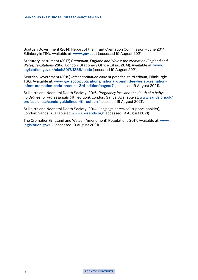Scottish Government (2014) Report of the Infant Cremation Commission – June 2014, Edinburgh: TSG. Available at: [www.gov.scot](https://www.gov.scot/publications/report-infant-cremation-commission/) (accessed 19 August 2021).

Statutory Instrument (2017) *Cremation, England and Wales: the cremation (England and Wales) regulations 2008*, London: Stationery Office (SI no. 2841). Available at: [www.](http://www.legislation.gov.uk/uksi/2017/1238/made) [legislation.gov.uk/uksi/2017/1238/made](http://www.legislation.gov.uk/uksi/2017/1238/made) (accessed 19 August 2021).

Scottish Government (2019) *Infant cremation code of practice: third edition*, Edinburgh: TSG. Available at: [www.gov.scot/publications/national-committee-burial-cremation](http://www.gov.scot/publications/national-committee-burial-cremation-infant-cremation-code-practice-3rd-edition/pages/7)[infant-cremation-code-practice-3rd-edition/pages/7](http://www.gov.scot/publications/national-committee-burial-cremation-infant-cremation-code-practice-3rd-edition/pages/7) (accessed 19 August 2021).

Stillbirth and Neonatal Death Society (2016) *Pregnancy loss and the death of a baby: guidelines for professionals* (4th edition), London: Sands. Available at: [www.sands.org.uk/](http://www.sands.org.uk/professionals/sands-guidelines-4th-edition) [professionals/sands-guidelines-4th-edition](http://www.sands.org.uk/professionals/sands-guidelines-4th-edition) (accessed 19 August 2021).

Stillbirth and Neonatal Death Society (2014) *Long ago bereaved* (support booklet), London: Sands. Available at: [www.uk-sands.org](https://www.sands.org.uk/sites/default/files/Long%20Ago%20Bereaved%20LINKED.pdf) (accessed 19 August 2021).

The Cremation (England and Wales) (Amendment) Regulations 2017. Available at: [www.](https://www.legislation.gov.uk/uksi/2017/1238/contents/made) [legislation.gov.uk](https://www.legislation.gov.uk/uksi/2017/1238/contents/made) (accessed 19 August 2021).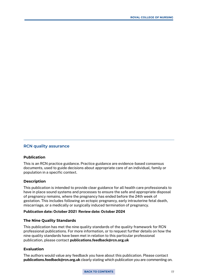#### **RCN quality assurance**

#### **Publication**

This is an RCN practice guidance. Practice guidance are evidence-based consensus documents, used to guide decisions about appropriate care of an individual, family or population in a specific context.

#### **Description**

This publication is intended to provide clear guidance for all health care professionals to have in place sound systems and processes to ensure the safe and appropriate disposal of pregnancy remains, where the pregnancy has ended before the 24th week of gestation. This includes following an ectopic pregnancy, early intrauterine fetal death, miscarriage, or a medically or surgically induced termination of pregnancy.

#### Publication date: October 2021 Review date: October 2024

#### **The Nine Quality Standards**

This publication has met the nine quality standards of the quality framework for RCN professional publications. For more information, or to request further details on how the nine quality standards have been met in relation to this particular professional publication, please contact publications.feedback@rcn.org.uk

#### **Evaluation**

The authors would value any feedback you have about this publication. Please contact publications.feedback@rcn.org.uk clearly stating which publication you are commenting on.